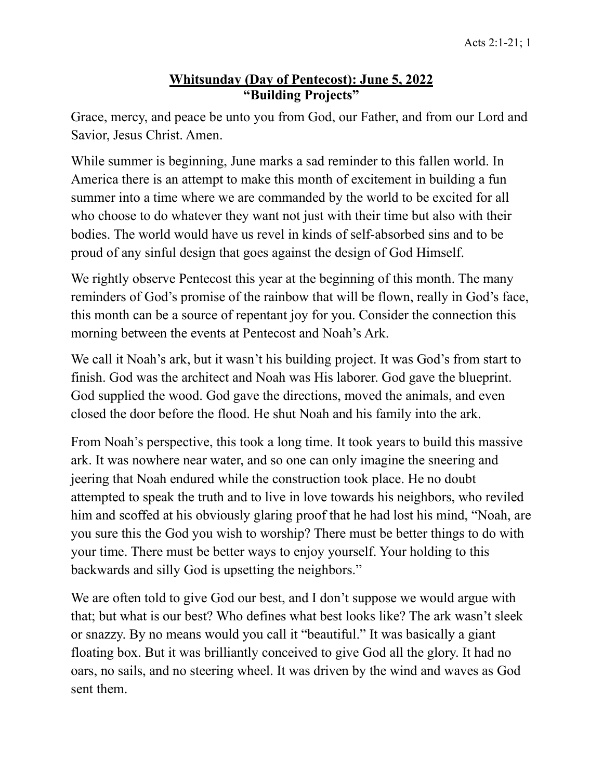## **Whitsunday (Day of Pentecost): June 5, 2022 "Building Projects"**

Grace, mercy, and peace be unto you from God, our Father, and from our Lord and Savior, Jesus Christ. Amen.

While summer is beginning, June marks a sad reminder to this fallen world. In America there is an attempt to make this month of excitement in building a fun summer into a time where we are commanded by the world to be excited for all who choose to do whatever they want not just with their time but also with their bodies. The world would have us revel in kinds of self-absorbed sins and to be proud of any sinful design that goes against the design of God Himself.

We rightly observe Pentecost this year at the beginning of this month. The many reminders of God's promise of the rainbow that will be flown, really in God's face, this month can be a source of repentant joy for you. Consider the connection this morning between the events at Pentecost and Noah's Ark.

We call it Noah's ark, but it wasn't his building project. It was God's from start to finish. God was the architect and Noah was His laborer. God gave the blueprint. God supplied the wood. God gave the directions, moved the animals, and even closed the door before the flood. He shut Noah and his family into the ark.

From Noah's perspective, this took a long time. It took years to build this massive ark. It was nowhere near water, and so one can only imagine the sneering and jeering that Noah endured while the construction took place. He no doubt attempted to speak the truth and to live in love towards his neighbors, who reviled him and scoffed at his obviously glaring proof that he had lost his mind, "Noah, are you sure this the God you wish to worship? There must be better things to do with your time. There must be better ways to enjoy yourself. Your holding to this backwards and silly God is upsetting the neighbors."

We are often told to give God our best, and I don't suppose we would argue with that; but what is our best? Who defines what best looks like? The ark wasn't sleek or snazzy. By no means would you call it "beautiful." It was basically a giant floating box. But it was brilliantly conceived to give God all the glory. It had no oars, no sails, and no steering wheel. It was driven by the wind and waves as God sent them.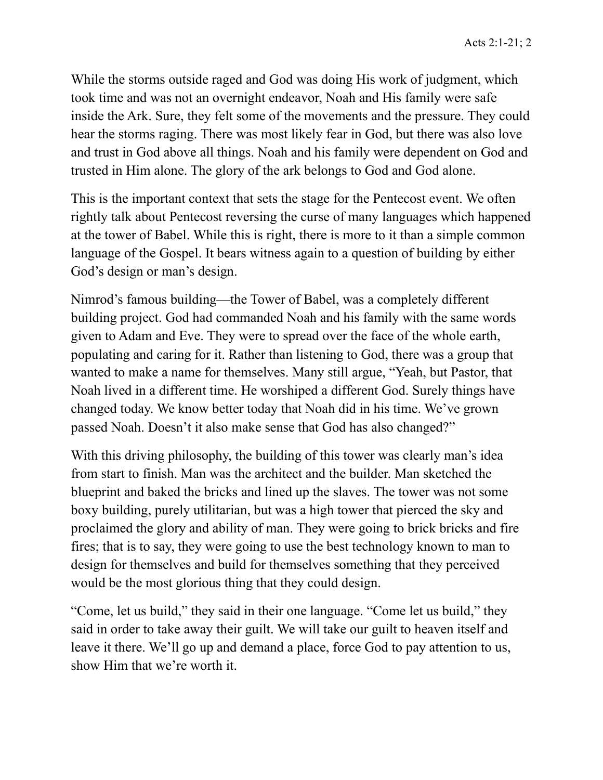While the storms outside raged and God was doing His work of judgment, which took time and was not an overnight endeavor, Noah and His family were safe inside the Ark. Sure, they felt some of the movements and the pressure. They could hear the storms raging. There was most likely fear in God, but there was also love and trust in God above all things. Noah and his family were dependent on God and trusted in Him alone. The glory of the ark belongs to God and God alone.

This is the important context that sets the stage for the Pentecost event. We often rightly talk about Pentecost reversing the curse of many languages which happened at the tower of Babel. While this is right, there is more to it than a simple common language of the Gospel. It bears witness again to a question of building by either God's design or man's design.

Nimrod's famous building—the Tower of Babel, was a completely different building project. God had commanded Noah and his family with the same words given to Adam and Eve. They were to spread over the face of the whole earth, populating and caring for it. Rather than listening to God, there was a group that wanted to make a name for themselves. Many still argue, "Yeah, but Pastor, that Noah lived in a different time. He worshiped a different God. Surely things have changed today. We know better today that Noah did in his time. We've grown passed Noah. Doesn't it also make sense that God has also changed?"

With this driving philosophy, the building of this tower was clearly man's idea from start to finish. Man was the architect and the builder. Man sketched the blueprint and baked the bricks and lined up the slaves. The tower was not some boxy building, purely utilitarian, but was a high tower that pierced the sky and proclaimed the glory and ability of man. They were going to brick bricks and fire fires; that is to say, they were going to use the best technology known to man to design for themselves and build for themselves something that they perceived would be the most glorious thing that they could design.

"Come, let us build," they said in their one language. "Come let us build," they said in order to take away their guilt. We will take our guilt to heaven itself and leave it there. We'll go up and demand a place, force God to pay attention to us, show Him that we're worth it.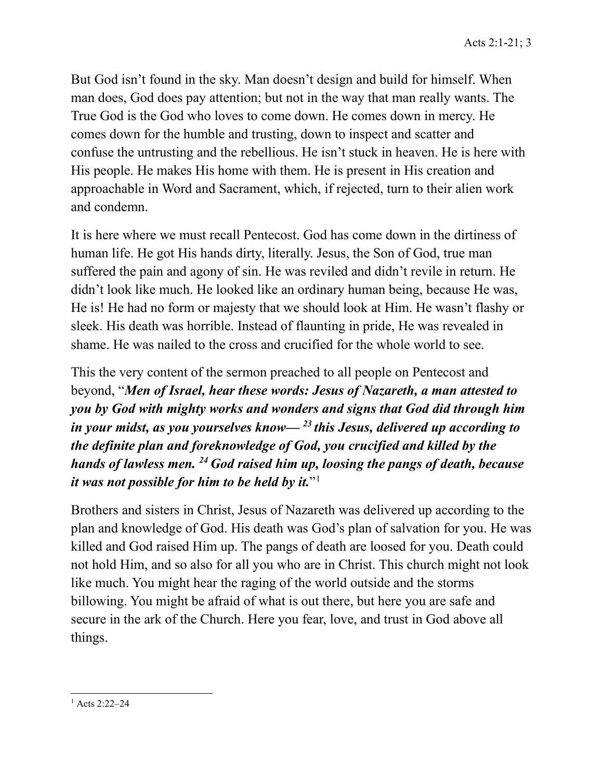But God isn't found in the sky. Man doesn't design and build for himself. When man does, God does pay attention; but not in the way that man really wants. The True God is the God who loves to come down. He comes down in mercy. He comes down for the humble and trusting, down to inspect and scatter and confuse the untrusting and the rebellious. He isn't stuck in heaven. He is here with His people. He makes His home with them. He is present in His creation and approachable in Word and Sacrament, which, if rejected, turn to their alien work and condemn.

It is here where we must recall Pentecost. God has come down in the dirtiness of human life. He got His hands dirty, literally. Jesus, the Son of God, true man suffered the pain and agony of sin. He was reviled and didn't revile in return. He didn't look like much. He looked like an ordinary human being, because He was, He is! He had no form or majesty that we should look at Him. He wasn't flashy or sleek. His death was horrible. Instead of flaunting in pride, He was revealed in shame. He was nailed to the cross and crucified for the whole world to see.

This the very content of the sermon preached to all people on Pentecost and beyond, "*Men of Israel, hear these words: Jesus of Nazareth, a man attested to you by God with mighty works and wonders and signs that God did through him in your midst, as you yourselves know— <sup>23</sup> this Jesus, delivered up according to the definite plan and foreknowledge of God, you crucified and killed by the hands of lawless men. 24 God raised him up, loosing the pangs of death, because it was not possible for him to be held by it.*"[1](#page-2-0)

Brothers and sisters in Christ, Jesus of Nazareth was delivered up according to the plan and knowledge of God. His death was God's plan of salvation for you. He was killed and God raised Him up. The pangs of death are loosed for you. Death could not hold Him, and so also for all you who are in Christ. This church might not look like much. You might hear the raging of the world outside and the storms billowing. You might be afraid of what is out there, but here you are safe and secure in the ark of the Church. Here you fear, love, and trust in God above all things.

<span id="page-2-0"></span> $1$  Acts 2:22–24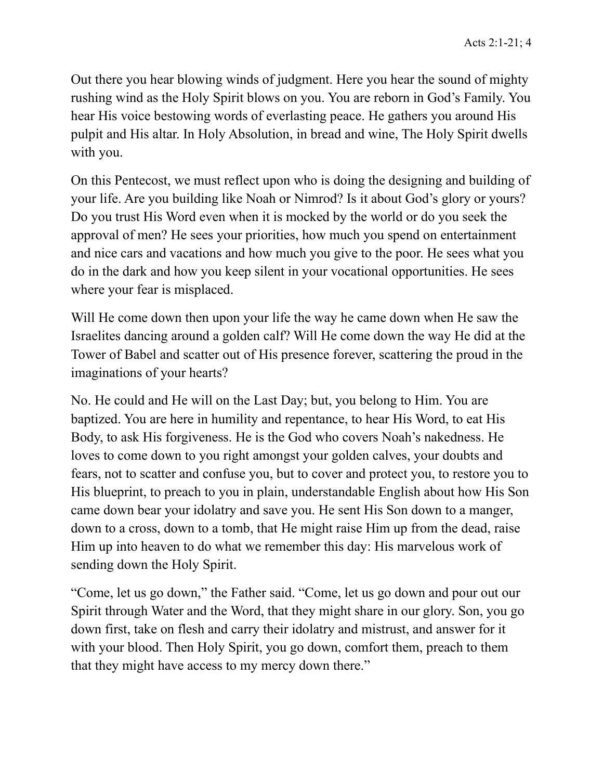Out there you hear blowing winds of judgment. Here you hear the sound of mighty rushing wind as the Holy Spirit blows on you. You are reborn in God's Family. You hear His voice bestowing words of everlasting peace. He gathers you around His pulpit and His altar. In Holy Absolution, in bread and wine, The Holy Spirit dwells with you.

On this Pentecost, we must reflect upon who is doing the designing and building of your life. Are you building like Noah or Nimrod? Is it about God's glory or yours? Do you trust His Word even when it is mocked by the world or do you seek the approval of men? He sees your priorities, how much you spend on entertainment and nice cars and vacations and how much you give to the poor. He sees what you do in the dark and how you keep silent in your vocational opportunities. He sees where your fear is misplaced.

Will He come down then upon your life the way he came down when He saw the Israelites dancing around a golden calf? Will He come down the way He did at the Tower of Babel and scatter out of His presence forever, scattering the proud in the imaginations of your hearts?

No. He could and He will on the Last Day; but, you belong to Him. You are baptized. You are here in humility and repentance, to hear His Word, to eat His Body, to ask His forgiveness. He is the God who covers Noah's nakedness. He loves to come down to you right amongst your golden calves, your doubts and fears, not to scatter and confuse you, but to cover and protect you, to restore you to His blueprint, to preach to you in plain, understandable English about how His Son came down bear your idolatry and save you. He sent His Son down to a manger, down to a cross, down to a tomb, that He might raise Him up from the dead, raise Him up into heaven to do what we remember this day: His marvelous work of sending down the Holy Spirit.

"Come, let us go down," the Father said. "Come, let us go down and pour out our Spirit through Water and the Word, that they might share in our glory. Son, you go down first, take on flesh and carry their idolatry and mistrust, and answer for it with your blood. Then Holy Spirit, you go down, comfort them, preach to them that they might have access to my mercy down there."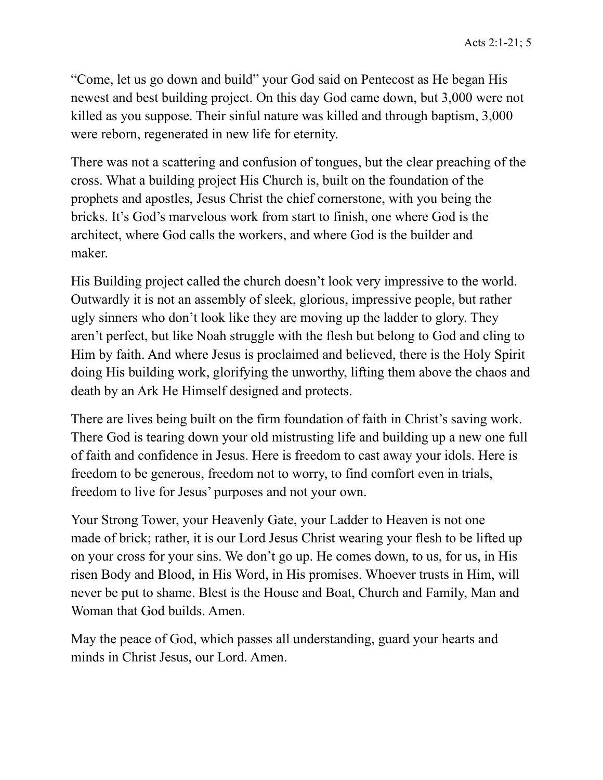"Come, let us go down and build" your God said on Pentecost as He began His newest and best building project. On this day God came down, but 3,000 were not killed as you suppose. Their sinful nature was killed and through baptism, 3,000 were reborn, regenerated in new life for eternity.

There was not a scattering and confusion of tongues, but the clear preaching of the cross. What a building project His Church is, built on the foundation of the prophets and apostles, Jesus Christ the chief cornerstone, with you being the bricks. It's God's marvelous work from start to finish, one where God is the architect, where God calls the workers, and where God is the builder and maker.

His Building project called the church doesn't look very impressive to the world. Outwardly it is not an assembly of sleek, glorious, impressive people, but rather ugly sinners who don't look like they are moving up the ladder to glory. They aren't perfect, but like Noah struggle with the flesh but belong to God and cling to Him by faith. And where Jesus is proclaimed and believed, there is the Holy Spirit doing His building work, glorifying the unworthy, lifting them above the chaos and death by an Ark He Himself designed and protects.

There are lives being built on the firm foundation of faith in Christ's saving work. There God is tearing down your old mistrusting life and building up a new one full of faith and confidence in Jesus. Here is freedom to cast away your idols. Here is freedom to be generous, freedom not to worry, to find comfort even in trials, freedom to live for Jesus' purposes and not your own.

Your Strong Tower, your Heavenly Gate, your Ladder to Heaven is not one made of brick; rather, it is our Lord Jesus Christ wearing your flesh to be lifted up on your cross for your sins. We don't go up. He comes down, to us, for us, in His risen Body and Blood, in His Word, in His promises. Whoever trusts in Him, will never be put to shame. Blest is the House and Boat, Church and Family, Man and Woman that God builds. Amen.

May the peace of God, which passes all understanding, guard your hearts and minds in Christ Jesus, our Lord. Amen.